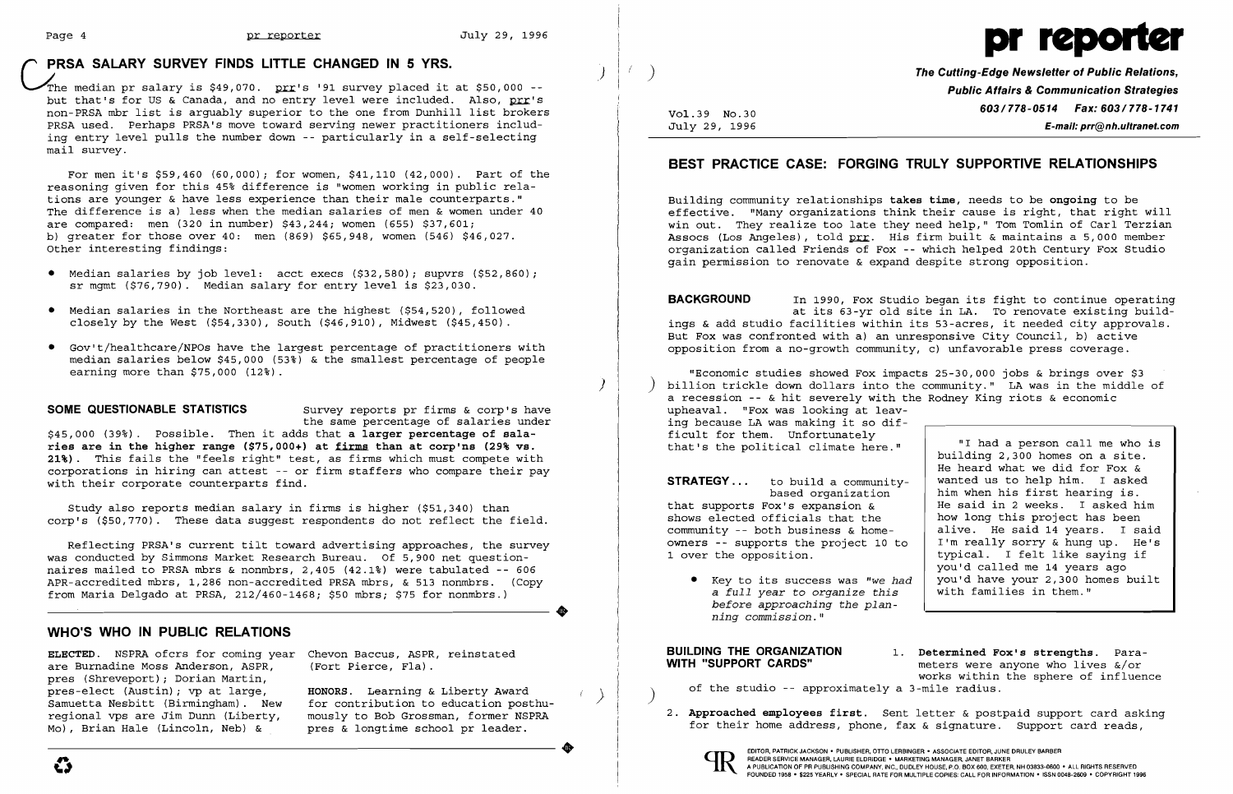$\overline{\mathcal{Y}}$ 

The median pr salary is  $$49,070$ . prr's '91 survey placed it at \$50,000 -but that's for US & Canada, and no entry level were included. Also, prr's non-PRSA mbr list is arguably superior to the one from Dunhill list brokers PRSA used. Perhaps PRSA's move toward serving newer practitioners including entry level pulls the number down -- particularly in a self-selecting mail survey.

- Median salaries by job level: acct execs (\$32,580); supvrs (\$52,860); sr mgmt (\$76,790). Median salary for entry level is \$23,030.
- • Median salaries in the Northeast are the highest (\$54,520), followed closely by the West  $( $54, 330)$ , South  $( $46, 910)$ , Midwest  $( $45, 450)$ .
- • Gov't/healthcare/NPOs have the largest percentage of practitioners with median salaries below \$45,000 (53%) & the smallest percentage of people earning more than \$75,000 (12%).

For men it's \$59,460 (60,000); for women, \$41,110 (42,000). Part of the reasoning given for this 45% difference is "women working in public relations are younger & have less experience than their male counterparts." The difference is a) less when the median salaries of men & women under 40 are compared: men (320 in number) \$43,244; women (655) \$37,601; b) greater for those over 40: men (869) \$65,948, women (546) \$46,027. Other interesting findings:

**SOME QUESTIONABLE STATISTICS** Survey reports pr firms & corp's have the same percentage of salaries under

**The Cutting-Edge Newsletter of Public Relations, Public Affairs & Communication Strategies 603/778-0514 Fax: 603/778-1741**<br> **603/778-0514 Fax: 603/778-1741**<br> **E-mail: prr@nh.ultranet.com** July 29, 1996 **E-mail: prr@nh.ultranet.com** 

\$45,000 (39%). possible. Then it adds that **a larger percentage of salaries are in the higher range (\$75,000+) at firms than at corp'ns (29% vs. 21%).** This fails the "feels right" test, as firms which must compete with corporations in hiring can attest -- or firm staffers who compare their pay with their corporate counterparts find.

Study also reports median salary in firms is higher (\$51,340) than corp's (\$50,770). These data suggest respondents do not reflect the field.

"Economic studies showed Fox impacts 25-30,000 jobs & brings over \$3 ) billion trickle down dollars into the community." LA was in the middle of a recession -- & hit severely with the Rodney King riots & economic upheaval. "Fox was looking at leaving because LA was making it so difficult for them. Unfortunately that's the political climate here." "I had a person call me who is

**STRATEGY ...** to build a communitybased organization that supports Fox's expansion & shows elected officials that the community -- both business & homeowners -- supports the project 10 to 1 over the opposition.

### **WHO'S WHO IN PUBLIC RELATIONS**

Reflecting PRSA's current tilt toward advertising approaches, the survey was conducted by Simmons Market Research Bureau. Of 5,900 net questionnaires mailed to PRSA mbrs & nonmbrs, 2,405 (42.1%) were tabulated -- 606 APR-accredited mbrs, 1,286 non-accredited PRSA mbrs, & 513 nonmbrs. (Copy from Maria Delgado at PRSA, 212/460-1468; \$50 mbrs; \$75 for nonmbrs.)

**ELECTED.** NSPRA ofcrs for coming year are Burnadine Moss Anderson, ASPR, pres (Shreveport); Dorian Martin, pres-elect (Austin); vp at large, Samuetta Nesbitt (Birmingham). New regional vps are Jim Dunn (Liberty, Mo), Brian Hale (Lincoln, Neb) &

meters were anyone who lives  $\frac{1}{2}$  or works within the sphere of influence

•

)

### **PRSA SALARY SURVEY FINDS LITTLE CHANGED IN 5 YRS.**

Chevon Baccus, ASPR, reinstated (Fort Pierce, Fla).

**HONORS.** Learning & Liberty Award ) for contribution to education posthumously to Bob Grossman, former NSPRA pres & longtime school pr leader. •



### **BEST PRACTICE CASE: FORGING TRULY SUPPORTIVE RELATIONSHIPS**

Building community relationships **takes time,** needs to be **ongoing** to be effective. "Many organizations think their cause is right, that right will win out. They realize too late they need help," Tom Tomlin of Carl Terzian Assocs (Los Angeles), told prr. His firm built & maintains a 5,000 member organization called Friends of Fox -- which helped 20th Century Fox Studio gain permission to renovate & expand despite strong opposition.

**BACKGROUND** In 1990, Fox Studio began its fight to continue operating at its 63-yr old site in LA. To renovate existing buildings & add studio facilities within its 53-acres, it needed city approvals. But Fox was confronted with a) an unresponsive City council, b) active opposition from a no-growth community, c) unfavorable press coverage.

• Key to its success was *"we had*  a *full year* to *organize this before approaching the planning commission."* 

# **BUILDING THE ORGANIZATION** 1. Determined Fox's strengths. Para-<br>**WITH "SUPPORT CARDS"** meters were anyone who lives  $\kappa/\alpha r$

- of the studio -- approximately a 3-mile radius.
- 

building 2,300 homes on a site. He heard what we did for Fox & wanted us to help him. I asked him when his first hearing is. He said in 2 weeks. I asked him how long this project has been alive. He said 14 years. I said I'm really sorry & hung up. He's typical. I felt like saying if yOU'd called me 14 years ago you'd have your 2,300 homes built with families in them."

2. **Approached employees first.** Sent letter & postpaid support card asking for their home address, phone, fax & signature. Support card reads,